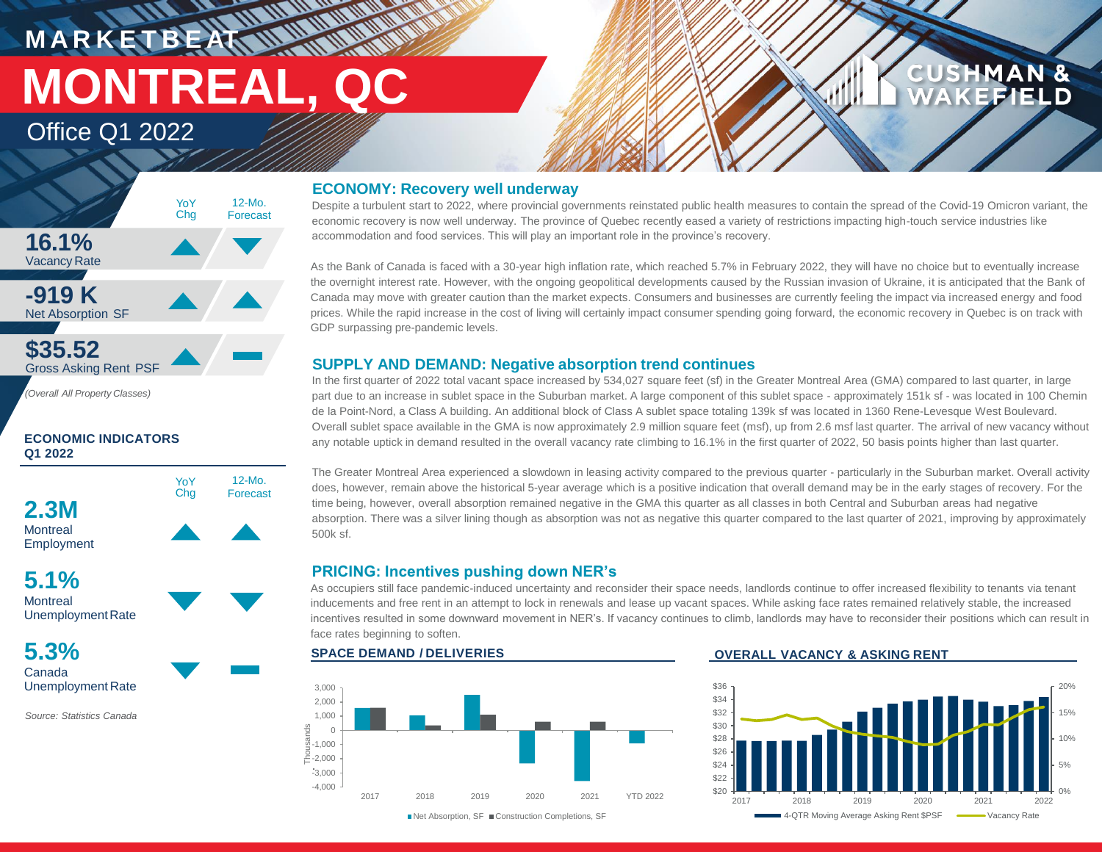# **MARKETBEATT MONTREAL, QC**

Office Q1 2022



## **ECONOMIC INDICATORS Q1 2022**



**5.1% Montreal** Unemployment Rate

**5.3%** Canada Unemployment Rate

*Source: Statistics Canada*

## **ECONOMY: Recovery well underway**

**WALLER** 

Despite a turbulent start to 2022, where provincial governments reinstated public health measures to contain the spread of the Covid-19 Omicron variant, the economic recovery is now well underway. The province of Quebec recently eased a variety of restrictions impacting high-touch service industries like accommodation and food services. This will play an important role in the province's recovery.

As the Bank of Canada is faced with a 30-year high inflation rate, which reached 5.7% in February 2022, they will have no choice but to eventually increase the overnight interest rate. However, with the ongoing geopolitical developments caused by the Russian invasion of Ukraine, it is anticipated that the Bank of Canada may move with greater caution than the market expects. Consumers and businesses are currently feeling the impact via increased energy and food prices. While the rapid increase in the cost of living will certainly impact consumer spending going forward, the economic recovery in Quebec is on track with GDP surpassing pre-pandemic levels.

## **SUPPLY AND DEMAND: Negative absorption trend continues**

In the first quarter of 2022 total vacant space increased by 534,027 square feet (sf) in the Greater Montreal Area (GMA) compared to last quarter, in large part due to an increase in sublet space in the Suburban market. A large component of this sublet space - approximately 151k sf - was located in 100 Chemin de la Point-Nord, a Class A building. An additional block of Class A sublet space totaling 139k sf was located in 1360 Rene-Levesque West Boulevard. Overall sublet space available in the GMA is now approximately 2.9 million square feet (msf), up from 2.6 msf last quarter. The arrival of new vacancy without any notable uptick in demand resulted in the overall vacancy rate climbing to 16.1% in the first quarter of 2022, 50 basis points higher than last quarter.

The Greater Montreal Area experienced a slowdown in leasing activity compared to the previous quarter - particularly in the Suburban market. Overall activity does, however, remain above the historical 5-year average which is a positive indication that overall demand may be in the early stages of recovery. For the time being, however, overall absorption remained negative in the GMA this quarter as all classes in both Central and Suburban areas had negative absorption. There was a silver lining though as absorption was not as negative this quarter compared to the last quarter of 2021, improving by approximately 500k sf.

## **PRICING: Incentives pushing down NER's**

As occupiers still face pandemic-induced uncertainty and reconsider their space needs, landlords continue to offer increased flexibility to tenants via tenant inducements and free rent in an attempt to lock in renewals and lease up vacant spaces. While asking face rates remained relatively stable, the increased incentives resulted in some downward movement in NER's. If vacancy continues to climb, landlords may have to reconsider their positions which can result in face rates beginning to soften.



## **SPACE DEMAND / DELIVERIES OVERALL VACANCY & ASKING RENT**



**CUSHMAN &** 

**EFIELD**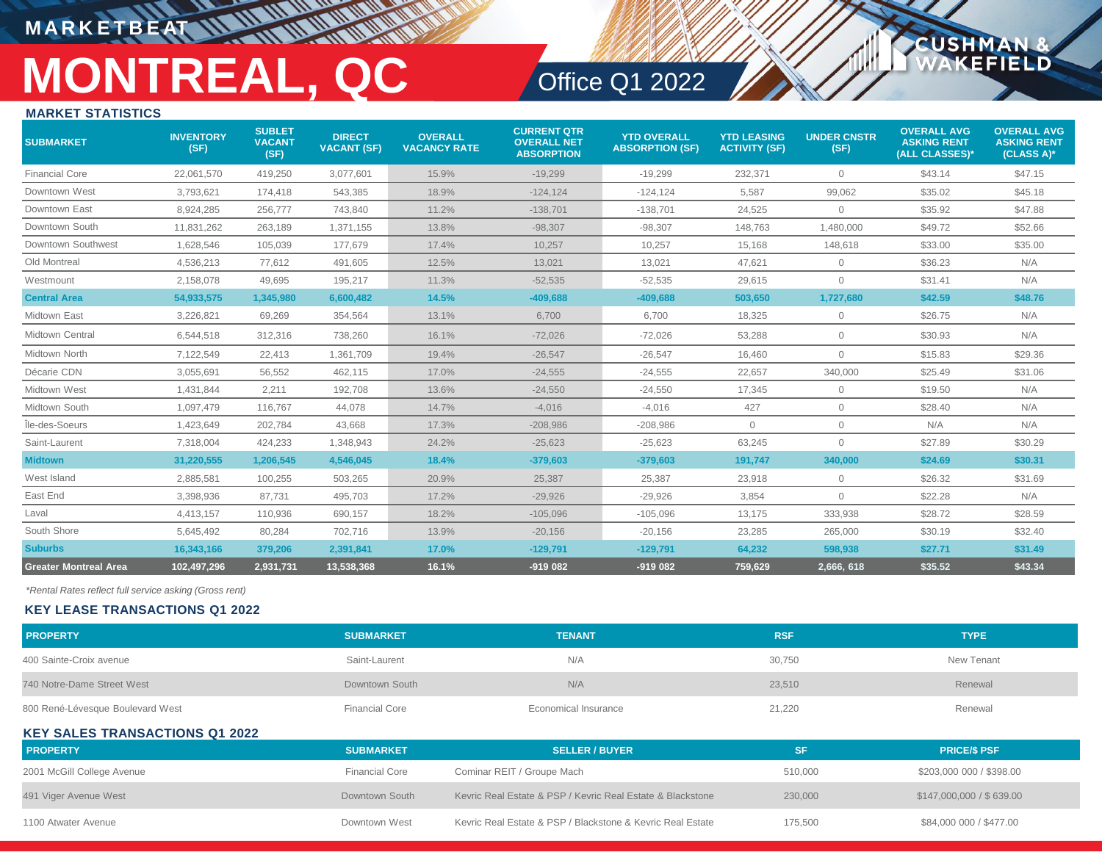## **M A R K E T B E AT**

# **MONTREAL, QC** Office Q1 2022

**CUSHM** 

**ELD** 

## **MARKET STATISTICS**

| <b>SUBMARKET</b>             | <b>INVENTORY</b><br>(SF) | <b>SUBLET</b><br><b>VACANT</b><br>(SF) | <b>DIRECT</b><br><b>VACANT (SF)</b> | <b>OVERALL</b><br><b>VACANCY RATE</b> | <b>CURRENT QTR</b><br><b>OVERALL NET</b><br><b>ABSORPTION</b> | <b>YTD OVERALL</b><br><b>ABSORPTION (SF)</b> | <b>YTD LEASING</b><br><b>ACTIVITY (SF)</b> | <b>UNDER CNSTR</b><br>(SF) | <b>OVERALL AVG</b><br><b>ASKING RENT</b><br>(ALL CLASSES)* | <b>OVERALL AVG</b><br><b>ASKING RENT</b><br>$(CLASS A)*$ |
|------------------------------|--------------------------|----------------------------------------|-------------------------------------|---------------------------------------|---------------------------------------------------------------|----------------------------------------------|--------------------------------------------|----------------------------|------------------------------------------------------------|----------------------------------------------------------|
| <b>Financial Core</b>        | 22,061,570               | 419,250                                | 3,077,601                           | 15.9%                                 | $-19,299$                                                     | $-19,299$                                    | 232,371                                    | $\circ$                    | \$43.14                                                    | \$47.15                                                  |
| Downtown West                | 3,793,621                | 174,418                                | 543,385                             | 18.9%                                 | $-124, 124$                                                   | $-124, 124$                                  | 5,587                                      | 99,062                     | \$35.02                                                    | \$45.18                                                  |
| Downtown East                | 8,924,285                | 256.777                                | 743,840                             | 11.2%                                 | $-138,701$                                                    | $-138,701$                                   | 24,525                                     | $\circ$                    | \$35.92                                                    | \$47.88                                                  |
| Downtown South               | 11,831,262               | 263,189                                | 1,371,155                           | 13.8%                                 | $-98,307$                                                     | $-98,307$                                    | 148,763                                    | 1,480,000                  | \$49.72                                                    | \$52.66                                                  |
| Downtown Southwest           | 1,628,546                | 105,039                                | 177,679                             | 17.4%                                 | 10,257                                                        | 10,257                                       | 15,168                                     | 148,618                    | \$33.00                                                    | \$35.00                                                  |
| Old Montreal                 | 4,536,213                | 77.612                                 | 491,605                             | 12.5%                                 | 13,021                                                        | 13,021                                       | 47.621                                     | $\circ$                    | \$36.23                                                    | N/A                                                      |
| Westmount                    | 2,158,078                | 49,695                                 | 195,217                             | 11.3%                                 | $-52,535$                                                     | $-52,535$                                    | 29,615                                     | $\circ$                    | \$31.41                                                    | N/A                                                      |
| <b>Central Area</b>          | 54,933,575               | 1,345,980                              | 6,600,482                           | 14.5%                                 | $-409,688$                                                    | $-409,688$                                   | 503,650                                    | 1,727,680                  | \$42.59                                                    | \$48.76                                                  |
| Midtown East                 | 3,226,821                | 69,269                                 | 354,564                             | 13.1%                                 | 6,700                                                         | 6.700                                        | 18.325                                     | $\mathbf{0}$               | \$26.75                                                    | N/A                                                      |
| <b>Midtown Central</b>       | 6,544,518                | 312,316                                | 738,260                             | 16.1%                                 | $-72,026$                                                     | $-72,026$                                    | 53,288                                     | $\circ$                    | \$30.93                                                    | N/A                                                      |
| Midtown North                | 7,122,549                | 22.413                                 | 1,361,709                           | 19.4%                                 | $-26,547$                                                     | $-26,547$                                    | 16.460                                     | $\circ$                    | \$15.83                                                    | \$29.36                                                  |
| Décarie CDN                  | 3,055,691                | 56,552                                 | 462,115                             | 17.0%                                 | $-24,555$                                                     | $-24,555$                                    | 22,657                                     | 340,000                    | \$25.49                                                    | \$31.06                                                  |
| Midtown West                 | 1.431.844                | 2.211                                  | 192,708                             | 13.6%                                 | $-24,550$                                                     | $-24,550$                                    | 17.345                                     | $\circ$                    | \$19.50                                                    | N/A                                                      |
| Midtown South                | 1,097,479                | 116,767                                | 44,078                              | 14.7%                                 | $-4,016$                                                      | $-4,016$                                     | 427                                        | $\circ$                    | \$28.40                                                    | N/A                                                      |
| Île-des-Soeurs               | 1,423,649                | 202,784                                | 43,668                              | 17.3%                                 | $-208,986$                                                    | $-208,986$                                   | $\circ$                                    | $\circ$                    | N/A                                                        | N/A                                                      |
| Saint-Laurent                | 7,318,004                | 424,233                                | 1,348,943                           | 24.2%                                 | $-25,623$                                                     | $-25,623$                                    | 63,245                                     | $\circ$                    | \$27.89                                                    | \$30.29                                                  |
| <b>Midtown</b>               | 31,220,555               | 1,206,545                              | 4,546,045                           | 18.4%                                 | $-379,603$                                                    | $-379,603$                                   | 191,747                                    | 340,000                    | \$24.69                                                    | \$30.31                                                  |
| West Island                  | 2,885,581                | 100,255                                | 503,265                             | 20.9%                                 | 25,387                                                        | 25,387                                       | 23,918                                     | $\circ$                    | \$26.32                                                    | \$31.69                                                  |
| East End                     | 3,398,936                | 87.731                                 | 495,703                             | 17.2%                                 | $-29,926$                                                     | $-29,926$                                    | 3,854                                      | $\circ$                    | \$22.28                                                    | N/A                                                      |
| Laval                        | 4,413,157                | 110,936                                | 690,157                             | 18.2%                                 | $-105,096$                                                    | $-105,096$                                   | 13,175                                     | 333,938                    | \$28.72                                                    | \$28.59                                                  |
| South Shore                  | 5,645,492                | 80,284                                 | 702,716                             | 13.9%                                 | $-20,156$                                                     | $-20,156$                                    | 23,285                                     | 265,000                    | \$30.19                                                    | \$32.40                                                  |
| <b>Suburbs</b>               | 16,343,166               | 379,206                                | 2,391,841                           | 17.0%                                 | $-129,791$                                                    | $-129,791$                                   | 64,232                                     | 598,938                    | \$27.71                                                    | \$31.49                                                  |
| <b>Greater Montreal Area</b> | 102,497,296              | 2,931,731                              | 13,538,368                          | 16.1%                                 | -919 082                                                      | $-919082$                                    | 759,629                                    | 2,666, 618                 | \$35.52                                                    | \$43.34                                                  |

*\*Rental Rates reflect full service asking (Gross rent)*

## **KEY LEASE TRANSACTIONS Q1 2022**

| <b>PROPERTY</b>                       | <b>SUBMARKET</b>      | <b>TENANT</b>                                              | <b>RSF</b> | <b>TYPE</b>              |  |  |  |  |
|---------------------------------------|-----------------------|------------------------------------------------------------|------------|--------------------------|--|--|--|--|
| 400 Sainte-Croix avenue               | Saint-Laurent         | N/A                                                        | 30,750     | New Tenant               |  |  |  |  |
| 740 Notre-Dame Street West            | Downtown South        | N/A                                                        | 23.510     | Renewal                  |  |  |  |  |
| 800 René-Lévesque Boulevard West      | <b>Financial Core</b> | Economical Insurance                                       | 21,220     | Renewal                  |  |  |  |  |
| <b>KEY SALES TRANSACTIONS Q1 2022</b> |                       |                                                            |            |                          |  |  |  |  |
| <b>PROPERTY</b>                       | <b>SUBMARKET</b>      | <b>SELLER / BUYER</b>                                      | <b>SF</b>  | <b>PRICE/S PSF</b>       |  |  |  |  |
| 2001 McGill College Avenue            | <b>Financial Core</b> | Cominar REIT / Groupe Mach                                 | 510,000    | \$203,000 000 / \$398.00 |  |  |  |  |
| 491 Viger Avenue West                 | Downtown South        | Kevric Real Estate & PSP / Kevric Real Estate & Blackstone | 230,000    | \$147,000,000 / \$639.00 |  |  |  |  |
| 1100 Atwater Avenue                   | Downtown West         | Kevric Real Estate & PSP / Blackstone & Kevric Real Estate | 175,500    | \$84,000 000 / \$477.00  |  |  |  |  |